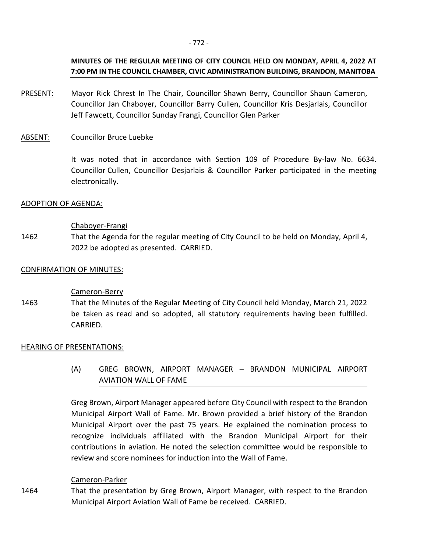# **MINUTES OF THE REGULAR MEETING OF CITY COUNCIL HELD ON MONDAY, APRIL 4, 2022 AT 7:00 PM IN THE COUNCIL CHAMBER, CIVIC ADMINISTRATION BUILDING, BRANDON, MANITOBA**

- PRESENT: Mayor Rick Chrest In The Chair, Councillor Shawn Berry, Councillor Shaun Cameron, Councillor Jan Chaboyer, Councillor Barry Cullen, Councillor Kris Desjarlais, Councillor Jeff Fawcett, Councillor Sunday Frangi, Councillor Glen Parker
- ABSENT: Councillor Bruce Luebke

It was noted that in accordance with Section 109 of Procedure By-law No. 6634. Councillor Cullen, Councillor Desjarlais & Councillor Parker participated in the meeting electronically.

### ADOPTION OF AGENDA:

### Chaboyer-Frangi

1462 That the Agenda for the regular meeting of City Council to be held on Monday, April 4, 2022 be adopted as presented. CARRIED.

### CONFIRMATION OF MINUTES:

## Cameron-Berry

1463 That the Minutes of the Regular Meeting of City Council held Monday, March 21, 2022 be taken as read and so adopted, all statutory requirements having been fulfilled. CARRIED.

### HEARING OF PRESENTATIONS:

(A) GREG BROWN, AIRPORT MANAGER – BRANDON MUNICIPAL AIRPORT AVIATION WALL OF FAME

Greg Brown, Airport Manager appeared before City Council with respect to the Brandon Municipal Airport Wall of Fame. Mr. Brown provided a brief history of the Brandon Municipal Airport over the past 75 years. He explained the nomination process to recognize individuals affiliated with the Brandon Municipal Airport for their contributions in aviation. He noted the selection committee would be responsible to review and score nominees for induction into the Wall of Fame.

### Cameron-Parker

1464 That the presentation by Greg Brown, Airport Manager, with respect to the Brandon Municipal Airport Aviation Wall of Fame be received. CARRIED.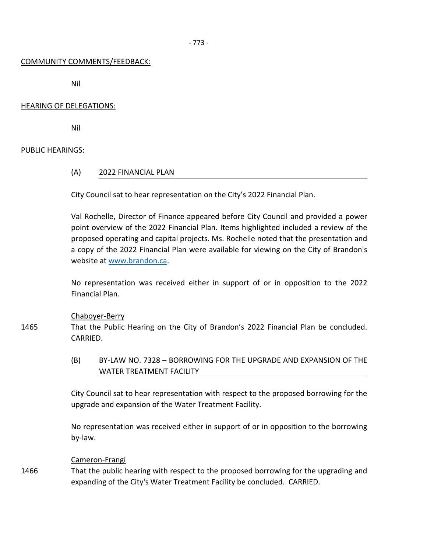### COMMUNITY COMMENTS/FEEDBACK:

Nil

## HEARING OF DELEGATIONS:

Nil

### PUBLIC HEARINGS:

1465

### (A) 2022 FINANCIAL PLAN

City Council sat to hear representation on the City's 2022 Financial Plan.

Val Rochelle, Director of Finance appeared before City Council and provided a power point overview of the 2022 Financial Plan. Items highlighted included a review of the proposed operating and capital projects. Ms. Rochelle noted that the presentation and a copy of the 2022 Financial Plan were available for viewing on the City of Brandon's website at [www.brandon.ca.](http://www.brandon.ca/)

No representation was received either in support of or in opposition to the 2022 Financial Plan.

### Chaboyer-Berry

That the Public Hearing on the City of Brandon's 2022 Financial Plan be concluded. CARRIED.

(B) BY-LAW NO. 7328 – BORROWING FOR THE UPGRADE AND EXPANSION OF THE WATER TREATMENT FACILITY

City Council sat to hear representation with respect to the proposed borrowing for the upgrade and expansion of the Water Treatment Facility.

No representation was received either in support of or in opposition to the borrowing by-law.

### Cameron-Frangi

1466 That the public hearing with respect to the proposed borrowing for the upgrading and expanding of the City's Water Treatment Facility be concluded. CARRIED.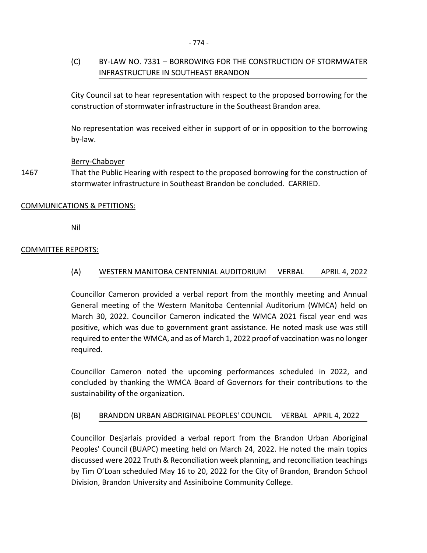# (C) BY-LAW NO. 7331 – BORROWING FOR THE CONSTRUCTION OF STORMWATER INFRASTRUCTURE IN SOUTHEAST BRANDON

City Council sat to hear representation with respect to the proposed borrowing for the construction of stormwater infrastructure in the Southeast Brandon area.

No representation was received either in support of or in opposition to the borrowing by-law.

# Berry-Chaboyer

1467 That the Public Hearing with respect to the proposed borrowing for the construction of stormwater infrastructure in Southeast Brandon be concluded. CARRIED.

# COMMUNICATIONS & PETITIONS:

Nil

# COMMITTEE REPORTS:

(A) WESTERN MANITOBA CENTENNIAL AUDITORIUM VERBAL APRIL 4, 2022

Councillor Cameron provided a verbal report from the monthly meeting and Annual General meeting of the Western Manitoba Centennial Auditorium (WMCA) held on March 30, 2022. Councillor Cameron indicated the WMCA 2021 fiscal year end was positive, which was due to government grant assistance. He noted mask use was still required to enter the WMCA, and as of March 1, 2022 proof of vaccination was no longer required.

Councillor Cameron noted the upcoming performances scheduled in 2022, and concluded by thanking the WMCA Board of Governors for their contributions to the sustainability of the organization.

## (B) BRANDON URBAN ABORIGINAL PEOPLES' COUNCIL VERBAL APRIL 4, 2022

Councillor Desjarlais provided a verbal report from the Brandon Urban Aboriginal Peoples' Council (BUAPC) meeting held on March 24, 2022. He noted the main topics discussed were 2022 Truth & Reconciliation week planning, and reconciliation teachings by Tim O'Loan scheduled May 16 to 20, 2022 for the City of Brandon, Brandon School Division, Brandon University and Assiniboine Community College.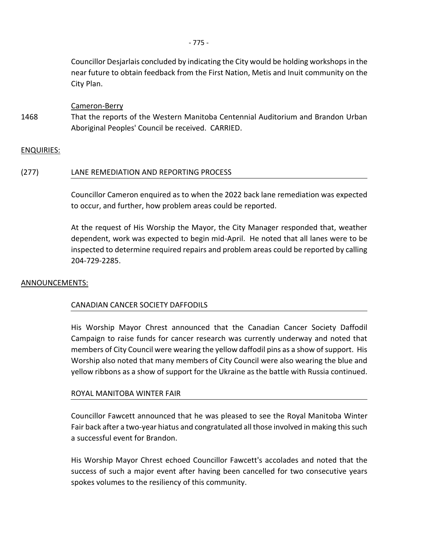Councillor Desjarlais concluded by indicating the City would be holding workshops in the near future to obtain feedback from the First Nation, Metis and Inuit community on the City Plan.

Cameron-Berry

1468 That the reports of the Western Manitoba Centennial Auditorium and Brandon Urban Aboriginal Peoples' Council be received. CARRIED.

### ENQUIRIES:

### (277) LANE REMEDIATION AND REPORTING PROCESS

Councillor Cameron enquired as to when the 2022 back lane remediation was expected to occur, and further, how problem areas could be reported.

At the request of His Worship the Mayor, the City Manager responded that, weather dependent, work was expected to begin mid-April. He noted that all lanes were to be inspected to determine required repairs and problem areas could be reported by calling 204-729-2285.

### ANNOUNCEMENTS:

## CANADIAN CANCER SOCIETY DAFFODILS

His Worship Mayor Chrest announced that the Canadian Cancer Society Daffodil Campaign to raise funds for cancer research was currently underway and noted that members of City Council were wearing the yellow daffodil pins as a show of support. His Worship also noted that many members of City Council were also wearing the blue and yellow ribbons as a show of support for the Ukraine as the battle with Russia continued.

### ROYAL MANITOBA WINTER FAIR

Councillor Fawcett announced that he was pleased to see the Royal Manitoba Winter Fair back after a two-year hiatus and congratulated all those involved in making this such a successful event for Brandon.

His Worship Mayor Chrest echoed Councillor Fawcett's accolades and noted that the success of such a major event after having been cancelled for two consecutive years spokes volumes to the resiliency of this community.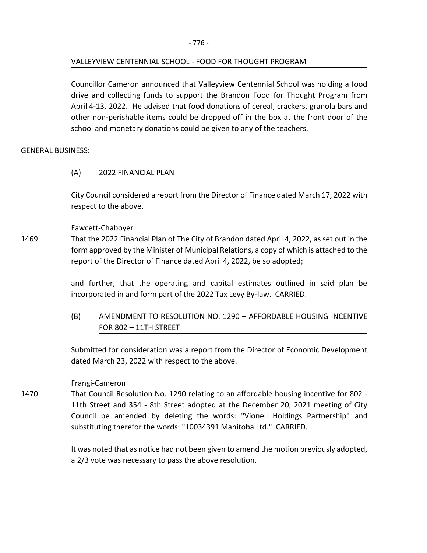# VALLEYVIEW CENTENNIAL SCHOOL - FOOD FOR THOUGHT PROGRAM

Councillor Cameron announced that Valleyview Centennial School was holding a food drive and collecting funds to support the Brandon Food for Thought Program from April 4-13, 2022. He advised that food donations of cereal, crackers, granola bars and other non-perishable items could be dropped off in the box at the front door of the school and monetary donations could be given to any of the teachers.

# GENERAL BUSINESS:

# (A) 2022 FINANCIAL PLAN

City Council considered a report from the Director of Finance dated March 17, 2022 with respect to the above.

# Fawcett-Chaboyer

1469 That the 2022 Financial Plan of The City of Brandon dated April 4, 2022, as set out in the form approved by the Minister of Municipal Relations, a copy of which is attached to the report of the Director of Finance dated April 4, 2022, be so adopted;

> and further, that the operating and capital estimates outlined in said plan be incorporated in and form part of the 2022 Tax Levy By-law. CARRIED.

> (B) AMENDMENT TO RESOLUTION NO. 1290 – AFFORDABLE HOUSING INCENTIVE FOR 802 – 11TH STREET

> Submitted for consideration was a report from the Director of Economic Development dated March 23, 2022 with respect to the above.

## Frangi-Cameron

1470 That Council Resolution No. 1290 relating to an affordable housing incentive for 802 - 11th Street and 354 - 8th Street adopted at the December 20, 2021 meeting of City Council be amended by deleting the words: "Vionell Holdings Partnership" and substituting therefor the words: "10034391 Manitoba Ltd." CARRIED.

> It was noted that as notice had not been given to amend the motion previously adopted, a 2/3 vote was necessary to pass the above resolution.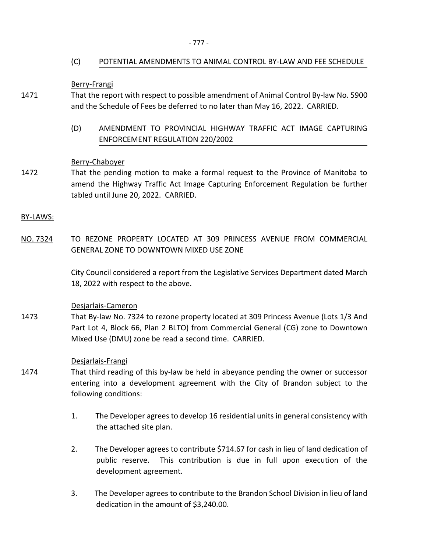# (C) POTENTIAL AMENDMENTS TO ANIMAL CONTROL BY-LAW AND FEE SCHEDULE

Berry-Frangi

- 1471 That the report with respect to possible amendment of Animal Control By-law No. 5900 and the Schedule of Fees be deferred to no later than May 16, 2022. CARRIED.
	- (D) AMENDMENT TO PROVINCIAL HIGHWAY TRAFFIC ACT IMAGE CAPTURING ENFORCEMENT REGULATION 220/2002

## Berry-Chaboyer

1472 That the pending motion to make a formal request to the Province of Manitoba to amend the Highway Traffic Act Image Capturing Enforcement Regulation be further tabled until June 20, 2022. CARRIED.

BY-LAWS:

NO. 7324 TO REZONE PROPERTY LOCATED AT 309 PRINCESS AVENUE FROM COMMERCIAL GENERAL ZONE TO DOWNTOWN MIXED USE ZONE

> City Council considered a report from the Legislative Services Department dated March 18, 2022 with respect to the above.

## Desjarlais-Cameron

1473 That By-law No. 7324 to rezone property located at 309 Princess Avenue (Lots 1/3 And Part Lot 4, Block 66, Plan 2 BLTO) from Commercial General (CG) zone to Downtown Mixed Use (DMU) zone be read a second time. CARRIED.

## Desjarlais-Frangi

- 1474 That third reading of this by-law be held in abeyance pending the owner or successor entering into a development agreement with the City of Brandon subject to the following conditions:
	- 1. The Developer agrees to develop 16 residential units in general consistency with the attached site plan.
	- 2. The Developer agrees to contribute \$714.67 for cash in lieu of land dedication of public reserve. This contribution is due in full upon execution of the development agreement.
	- 3. The Developer agrees to contribute to the Brandon School Division in lieu of land dedication in the amount of \$3,240.00.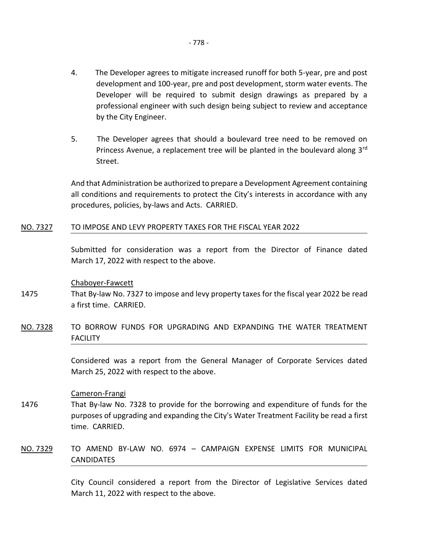- 4. The Developer agrees to mitigate increased runoff for both 5-year, pre and post development and 100-year, pre and post development, storm water events. The Developer will be required to submit design drawings as prepared by a professional engineer with such design being subject to review and acceptance by the City Engineer.
- 5. The Developer agrees that should a boulevard tree need to be removed on Princess Avenue, a replacement tree will be planted in the boulevard along  $3<sup>rd</sup>$ Street.

And that Administration be authorized to prepare a Development Agreement containing all conditions and requirements to protect the City's interests in accordance with any procedures, policies, by-laws and Acts. CARRIED.

### NO. 7327 TO IMPOSE AND LEVY PROPERTY TAXES FOR THE FISCAL YEAR 2022

Submitted for consideration was a report from the Director of Finance dated March 17, 2022 with respect to the above.

### Chaboyer-Fawcett

- 1475 That By-law No. 7327 to impose and levy property taxes for the fiscal year 2022 be read a first time. CARRIED.
- NO. 7328 TO BORROW FUNDS FOR UPGRADING AND EXPANDING THE WATER TREATMENT **FACILITY**

Considered was a report from the General Manager of Corporate Services dated March 25, 2022 with respect to the above.

### Cameron-Frangi

- 1476 That By-law No. 7328 to provide for the borrowing and expenditure of funds for the purposes of upgrading and expanding the City's Water Treatment Facility be read a first time. CARRIED.
- NO. 7329 TO AMEND BY-LAW NO. 6974 CAMPAIGN EXPENSE LIMITS FOR MUNICIPAL **CANDIDATES**

City Council considered a report from the Director of Legislative Services dated March 11, 2022 with respect to the above.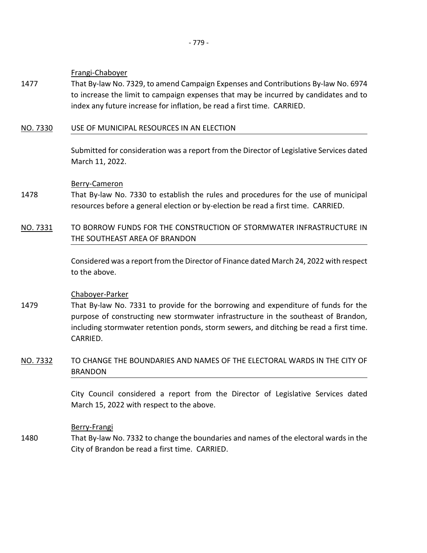## Frangi-Chaboyer

1477 That By-law No. 7329, to amend Campaign Expenses and Contributions By-law No. 6974 to increase the limit to campaign expenses that may be incurred by candidates and to index any future increase for inflation, be read a first time. CARRIED.

# NO. 7330 USE OF MUNICIPAL RESOURCES IN AN ELECTION

Submitted for consideration was a report from the Director of Legislative Services dated March 11, 2022.

## Berry-Cameron

- 1478 That By-law No. 7330 to establish the rules and procedures for the use of municipal resources before a general election or by-election be read a first time. CARRIED.
- NO. 7331 TO BORROW FUNDS FOR THE CONSTRUCTION OF STORMWATER INFRASTRUCTURE IN THE SOUTHEAST AREA OF BRANDON

Considered was a report from the Director of Finance dated March 24, 2022 with respect to the above.

## Chaboyer-Parker

1479 That By-law No. 7331 to provide for the borrowing and expenditure of funds for the purpose of constructing new stormwater infrastructure in the southeast of Brandon, including stormwater retention ponds, storm sewers, and ditching be read a first time. CARRIED.

# NO. 7332 TO CHANGE THE BOUNDARIES AND NAMES OF THE ELECTORAL WARDS IN THE CITY OF BRANDON

City Council considered a report from the Director of Legislative Services dated March 15, 2022 with respect to the above.

## Berry-Frangi

1480 That By-law No. 7332 to change the boundaries and names of the electoral wards in the City of Brandon be read a first time. CARRIED.